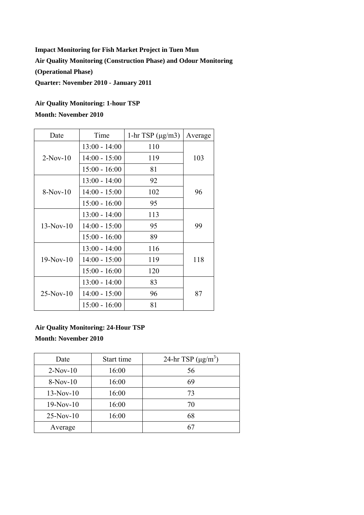## **Impact Monitoring for Fish Market Project in Tuen Mun Air Quality Monitoring (Construction Phase) and Odour Monitoring (Operational Phase) Quarter: November 2010 - January 2011**

## **Air Quality Monitoring: 1-hour TSP Month: November 2010**

| Date        | Time            | 1-hr TSP $(\mu g/m3)$ | Average |  |
|-------------|-----------------|-----------------------|---------|--|
| $2-Nov-10$  | $13:00 - 14:00$ | 110                   |         |  |
|             | $14:00 - 15:00$ | 119                   | 103     |  |
|             | $15:00 - 16:00$ | 81                    |         |  |
| $8-Nov-10$  | $13:00 - 14:00$ | 92                    | 96      |  |
|             | $14:00 - 15:00$ | 102                   |         |  |
|             | $15:00 - 16:00$ | 95                    |         |  |
| $13-Nov-10$ | $13:00 - 14:00$ | 113                   |         |  |
|             | $14:00 - 15:00$ | 95                    | 99      |  |
|             | $15:00 - 16:00$ | 89                    |         |  |
| $19-Nov-10$ | $13:00 - 14:00$ | 116                   |         |  |
|             | $14:00 - 15:00$ | 119                   | 118     |  |
|             | $15:00 - 16:00$ | 120                   |         |  |
| $25-Nov-10$ | $13:00 - 14:00$ | 83                    |         |  |
|             | $14:00 - 15:00$ | 96                    | 87      |  |
|             | $15:00 - 16:00$ | 81                    |         |  |

## **Air Quality Monitoring: 24-Hour TSP Month: November 2010**

| Date        | 24-hr TSP $(\mu g/m^3)$<br>Start time |    |
|-------------|---------------------------------------|----|
| $2-Nov-10$  | 16:00                                 | 56 |
| $8-Nov-10$  | 16:00                                 | 69 |
| $13-Nov-10$ | 16:00                                 | 73 |
| $19-Nov-10$ | 16:00                                 | 70 |
| $25-Nov-10$ | 16:00                                 | 68 |
| Average     |                                       | 61 |